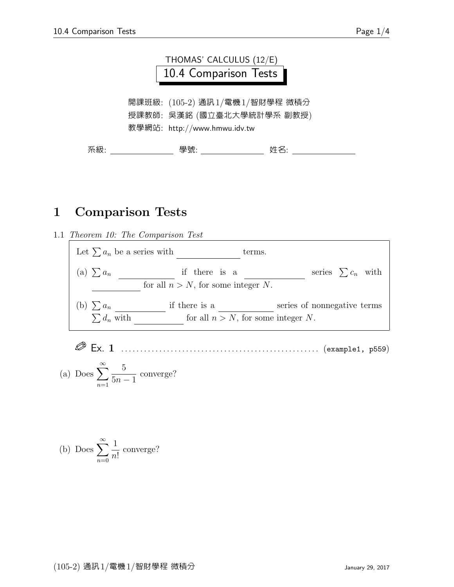

## 1 Comparison Tests





Ex. 1 . . . . . . . . . . . . . . . . . . . . . . . . . . . . . . . . . . . . . . . . . . . . . . . . . . . . (example1, p559)

(a) Does 
$$
\sum_{n=1}^{\infty} \frac{5}{5n-1}
$$
 converge?

(b) Does 
$$
\sum_{n=0}^{\infty} \frac{1}{n!}
$$
 converge?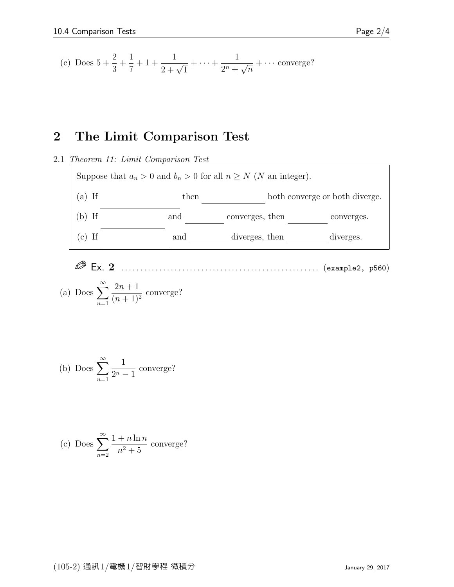(c) Does 
$$
5 + \frac{2}{3} + \frac{1}{7} + 1 + \frac{1}{2 + \sqrt{1}} + \dots + \frac{1}{2^n + \sqrt{n}} + \dots
$$
 converge?

## 2 The Limit Comparison Test

2.1 Theorem 11: Limit Comparison Test Suppose that  $a_n > 0$  and  $b_n > 0$  for all  $n \ge N$  (N an integer).  $(a)$  If then both converge or both diverge.  $(b)$  If an bn and converges, then converges.  $(c)$  If an bn and  $\_\_\_\_\_\_$  diverges, then  $\_\_\_\_\_\_\_$  diverges. Ex. 2 . . . . . . . . . . . . . . . . . . . . . . . . . . . . . . . . . . . . . . . . . . . . . . . . . . . . (example2, p560)

(a) Does 
$$
\sum_{n=1}^{\infty} \frac{2n+1}{(n+1)^2}
$$
 converge?

(b) Does 
$$
\sum_{n=1}^{\infty} \frac{1}{2^n - 1}
$$
 converge?

(c) Does 
$$
\sum_{n=2}^{\infty} \frac{1+n \ln n}{n^2+5}
$$
 converge?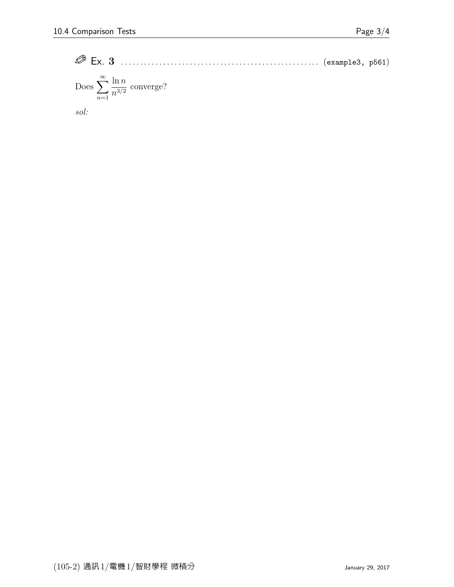Ex. 3 . . . . . . . . . . . . . . . . . . . . . . . . . . . . . . . . . . . . . . . . . . . . . . . . . . . . (example3, p561) Does <sup>X</sup><sup>∞</sup> n=1 ln n n<sup>3</sup>/<sup>2</sup> converge?

sol: